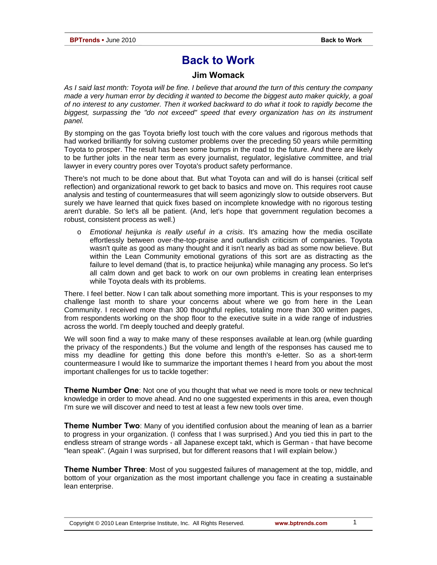## **Back to Work**

## **Jim Womack**

*As I said last month: Toyota will be fine. I believe that around the turn of this century the company made a very human error by deciding it wanted to become the biggest auto maker quickly, a goal of no interest to any customer. Then it worked backward to do what it took to rapidly become the biggest, surpassing the "do not exceed" speed that every organization has on its instrument panel.* 

By stomping on the gas Toyota briefly lost touch with the core values and rigorous methods that had worked brilliantly for solving customer problems over the preceding 50 years while permitting Toyota to prosper. The result has been some bumps in the road to the future. And there are likely to be further jolts in the near term as every journalist, regulator, legislative committee, and trial lawyer in every country pores over Toyota's product safety performance.

There's not much to be done about that. But what Toyota can and will do is hansei (critical self reflection) and organizational rework to get back to basics and move on. This requires root cause analysis and testing of countermeasures that will seem agonizingly slow to outside observers. But surely we have learned that quick fixes based on incomplete knowledge with no rigorous testing aren't durable. So let's all be patient. (And, let's hope that government regulation becomes a robust, consistent process as well.)

o *Emotional heijunka is really useful in a crisis*. It's amazing how the media oscillate effortlessly between over-the-top-praise and outlandish criticism of companies. Toyota wasn't quite as good as many thought and it isn't nearly as bad as some now believe. But within the Lean Community emotional gyrations of this sort are as distracting as the failure to level demand (that is, to practice heijunka) while managing any process. So let's all calm down and get back to work on our own problems in creating lean enterprises while Toyota deals with its problems.

There. I feel better. Now I can talk about something more important. This is your responses to my challenge last month to share your concerns about where we go from here in the Lean Community. I received more than 300 thoughtful replies, totaling more than 300 written pages, from respondents working on the shop floor to the executive suite in a wide range of industries across the world. I'm deeply touched and deeply grateful.

We will soon find a way to make many of these responses available at lean.org (while guarding the privacy of the respondents.) But the volume and length of the responses has caused me to miss my deadline for getting this done before this month's e-letter. So as a short-term countermeasure I would like to summarize the important themes I heard from you about the most important challenges for us to tackle together:

**Theme Number One**: Not one of you thought that what we need is more tools or new technical knowledge in order to move ahead. And no one suggested experiments in this area, even though I'm sure we will discover and need to test at least a few new tools over time.

**Theme Number Two**: Many of you identified confusion about the meaning of lean as a barrier to progress in your organization. (I confess that I was surprised.) And you tied this in part to the endless stream of strange words - all Japanese except takt, which is German - that have become "lean speak". (Again I was surprised, but for different reasons that I will explain below.)

**Theme Number Three**: Most of you suggested failures of management at the top, middle, and bottom of your organization as the most important challenge you face in creating a sustainable lean enterprise.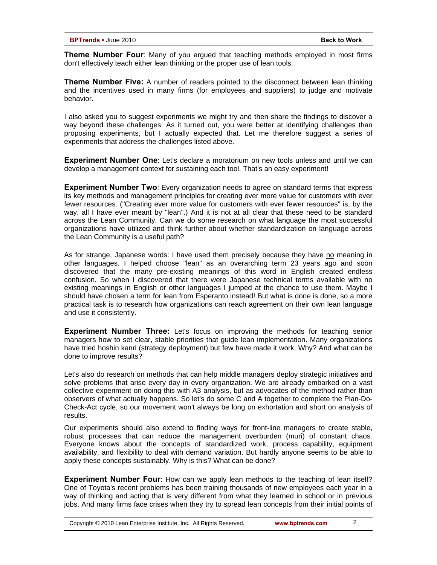**Theme Number Four**: Many of you argued that teaching methods employed in most firms don't effectively teach either lean thinking or the proper use of lean tools.

**Theme Number Five:** A number of readers pointed to the disconnect between lean thinking and the incentives used in many firms (for employees and suppliers) to judge and motivate behavior.

I also asked you to suggest experiments we might try and then share the findings to discover a way beyond these challenges. As it turned out, you were better at identifying challenges than proposing experiments, but I actually expected that. Let me therefore suggest a series of experiments that address the challenges listed above.

**Experiment Number One**: Let's declare a moratorium on new tools unless and until we can develop a management context for sustaining each tool. That's an easy experiment!

**Experiment Number Two**: Every organization needs to agree on standard terms that express its key methods and management principles for creating ever more value for customers with ever fewer resources. ("Creating ever more value for customers with ever fewer resources" is, by the way, all I have ever meant by "lean".) And it is not at all clear that these need to be standard across the Lean Community. Can we do some research on what language the most successful organizations have utilized and think further about whether standardization on language across the Lean Community is a useful path?

As for strange, Japanese words: I have used them precisely because they have no meaning in other languages. I helped choose "lean" as an overarching term 23 years ago and soon discovered that the many pre-existing meanings of this word in English created endless confusion. So when I discovered that there were Japanese technical terms available with no existing meanings in English or other languages I jumped at the chance to use them. Maybe I should have chosen a term for lean from Esperanto instead! But what is done is done, so a more practical task is to research how organizations can reach agreement on their own lean language and use it consistently.

**Experiment Number Three:** Let's focus on improving the methods for teaching senior managers how to set clear, stable priorities that guide lean implementation. Many organizations have tried hoshin kanri (strategy deployment) but few have made it work. Why? And what can be done to improve results?

Let's also do research on methods that can help middle managers deploy strategic initiatives and solve problems that arise every day in every organization. We are already embarked on a vast collective experiment on doing this with A3 analysis, but as advocates of the method rather than observers of what actually happens. So let's do some C and A together to complete the Plan-Do-Check-Act cycle, so our movement won't always be long on exhortation and short on analysis of results.

Our experiments should also extend to finding ways for front-line managers to create stable, robust processes that can reduce the management overburden (muri) of constant chaos. Everyone knows about the concepts of standardized work, process capability, equipment availability, and flexibility to deal with demand variation. But hardly anyone seems to be able to apply these concepts sustainably. Why is this? What can be done?

**Experiment Number Four**: How can we apply lean methods to the teaching of lean itself? One of Toyota's recent problems has been training thousands of new employees each year in a way of thinking and acting that is very different from what they learned in school or in previous jobs. And many firms face crises when they try to spread lean concepts from their initial points of

Copyright © 2010 Lean Enterprise Institute, Inc. All Rights Reserved. **www.bptrends.com**